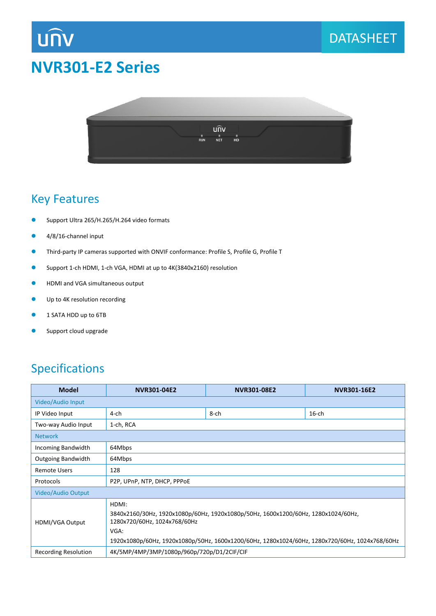

# **NVR301-E2 Series**



#### Key Features

- Support Ultra 265/H.265/H.264 video formats
- 4/8/16-channel input
- Third-party IP cameras supported with ONVIF conformance: Profile S, Profile G, Profile T
- Support 1-ch HDMI, 1-ch VGA, HDMI at up to 4K(3840x2160) resolution
- **•** HDMI and VGA simultaneous output
- **Up to 4K resolution recording**
- **1 SATA HDD up to 6TB**
- **Support cloud upgrade**

## Specifications

| <b>Model</b>              | <b>NVR301-04E2</b>                                                                                                                                                                                                                   | <b>NVR301-08E2</b> | NVR301-16E2 |  |  |  |  |
|---------------------------|--------------------------------------------------------------------------------------------------------------------------------------------------------------------------------------------------------------------------------------|--------------------|-------------|--|--|--|--|
| Video/Audio Input         |                                                                                                                                                                                                                                      |                    |             |  |  |  |  |
| IP Video Input            | 4-ch                                                                                                                                                                                                                                 | $8$ -ch            | $16$ -ch    |  |  |  |  |
| Two-way Audio Input       | 1-ch, RCA                                                                                                                                                                                                                            |                    |             |  |  |  |  |
| <b>Network</b>            |                                                                                                                                                                                                                                      |                    |             |  |  |  |  |
| Incoming Bandwidth        | 64Mbps                                                                                                                                                                                                                               |                    |             |  |  |  |  |
| <b>Outgoing Bandwidth</b> | 64Mbps                                                                                                                                                                                                                               |                    |             |  |  |  |  |
| <b>Remote Users</b>       | 128                                                                                                                                                                                                                                  |                    |             |  |  |  |  |
| Protocols                 | P2P, UPnP, NTP, DHCP, PPPOE                                                                                                                                                                                                          |                    |             |  |  |  |  |
| Video/Audio Output        |                                                                                                                                                                                                                                      |                    |             |  |  |  |  |
| HDMI/VGA Output           | HDMI:<br>3840x2160/30Hz, 1920x1080p/60Hz, 1920x1080p/50Hz, 1600x1200/60Hz, 1280x1024/60Hz,<br>1280x720/60Hz, 1024x768/60Hz<br>VGA:<br>1920x1080p/60Hz, 1920x1080p/50Hz, 1600x1200/60Hz, 1280x1024/60Hz, 1280x720/60Hz, 1024x768/60Hz |                    |             |  |  |  |  |
| Recording Resolution      | 4K/5MP/4MP/3MP/1080p/960p/720p/D1/2CIF/CIF                                                                                                                                                                                           |                    |             |  |  |  |  |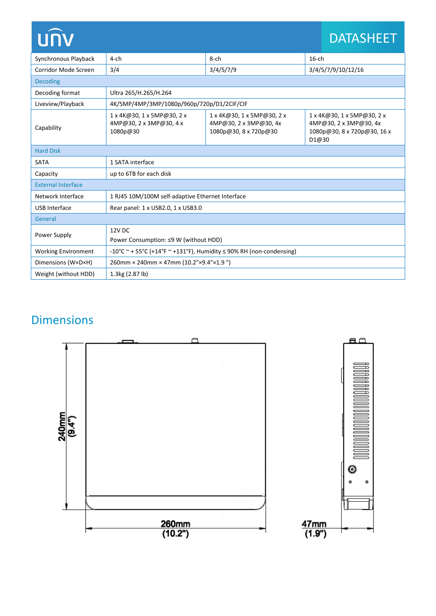| <b>UNV</b>                 |                                                                          |                                                                               |                    | <b>DATASHEET</b>                                                                    |  |  |  |
|----------------------------|--------------------------------------------------------------------------|-------------------------------------------------------------------------------|--------------------|-------------------------------------------------------------------------------------|--|--|--|
| Synchronous Playback       | $4$ -ch                                                                  | 8-ch                                                                          | $16$ -ch           |                                                                                     |  |  |  |
| Corridor Mode Screen       | 3/4                                                                      | 3/4/5/7/9                                                                     | 3/4/5/7/9/10/12/16 |                                                                                     |  |  |  |
| <b>Decoding</b>            |                                                                          |                                                                               |                    |                                                                                     |  |  |  |
| Decoding format            | Ultra 265/H.265/H.264                                                    |                                                                               |                    |                                                                                     |  |  |  |
| Liveview/Playback          | 4K/5MP/4MP/3MP/1080p/960p/720p/D1/2CIF/CIF                               |                                                                               |                    |                                                                                     |  |  |  |
| Capability                 | 1 x 4K@30, 1 x 5MP@30, 2 x<br>4MP@30, 2 x 3MP@30, 4 x<br>1080p@30        | 1 x 4K@30, 1 x 5MP@30, 2 x<br>4MP@30, 2 x 3MP@30, 4x<br>1080p@30, 8 x 720p@30 | D1@30              | 1 x 4K@30, 1 x 5MP@30, 2 x<br>4MP@30, 2 x 3MP@30, 4x<br>1080p@30, 8 x 720p@30, 16 x |  |  |  |
| <b>Hard Disk</b>           |                                                                          |                                                                               |                    |                                                                                     |  |  |  |
| <b>SATA</b>                | 1 SATA interface                                                         |                                                                               |                    |                                                                                     |  |  |  |
| Capacity                   | up to 6TB for each disk                                                  |                                                                               |                    |                                                                                     |  |  |  |
| <b>External Interface</b>  |                                                                          |                                                                               |                    |                                                                                     |  |  |  |
| Network Interface          | 1 RJ45 10M/100M self-adaptive Ethernet Interface                         |                                                                               |                    |                                                                                     |  |  |  |
| <b>USB Interface</b>       | Rear panel: 1 x USB2.0, 1 x USB3.0                                       |                                                                               |                    |                                                                                     |  |  |  |
| General                    |                                                                          |                                                                               |                    |                                                                                     |  |  |  |
| Power Supply               | 12V DC                                                                   |                                                                               |                    |                                                                                     |  |  |  |
|                            | Power Consumption: ≤9 W (without HDD)                                    |                                                                               |                    |                                                                                     |  |  |  |
| <b>Working Environment</b> | -10°C ~ + 55°C (+14°F ~ +131°F), Humidity $\leq$ 90% RH (non-condensing) |                                                                               |                    |                                                                                     |  |  |  |
| Dimensions (W×D×H)         | 260mm × 240mm × 47mm (10.2"×9.4"×1.9")                                   |                                                                               |                    |                                                                                     |  |  |  |
| Weight (without HDD)       | 1.3kg (2.87 lb)                                                          |                                                                               |                    |                                                                                     |  |  |  |

# Dimensions